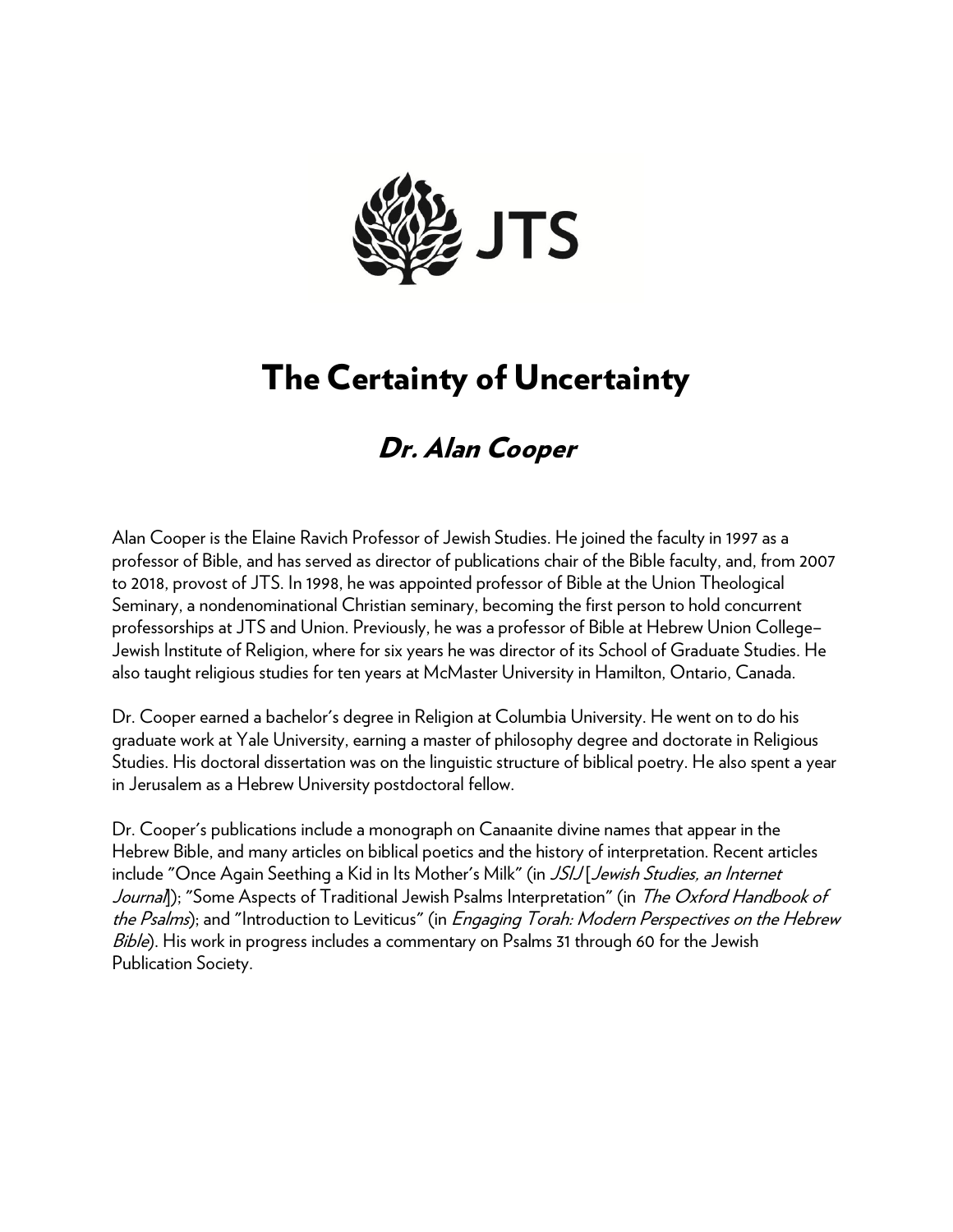

## The Certainty of Uncertainty

## Dr. Alan Cooper

Alan Cooper is the Elaine Ravich Professor of Jewish Studies. He joined the faculty in 1997 as a professor of Bible, and has served as director of publications chair of the Bible faculty, and, from 2007 to 2018, provost of JTS. In 1998, he was appointed professor of Bible at the Union Theological Seminary, a nondenominational Christian seminary, becoming the first person to hold concurrent professorships at JTS and Union. Previously, he was a professor of Bible at Hebrew Union College– Jewish Institute of Religion, where for six years he was director of its School of Graduate Studies. He also taught religious studies for ten years at McMaster University in Hamilton, Ontario, Canada.

Dr. Cooper earned a bachelor's degree in Religion at Columbia University. He went on to do his graduate work at Yale University, earning a master of philosophy degree and doctorate in Religious Studies. His doctoral dissertation was on the linguistic structure of biblical poetry. He also spent a year in Jerusalem as a Hebrew University postdoctoral fellow.

Dr. Cooper's publications include a monograph on Canaanite divine names that appear in the Hebrew Bible, and many articles on biblical poetics and the history of interpretation. Recent articles include "Once Again Seething a Kid in Its Mother's Milk" (in JSIJ Jewish Studies, an Internet Journal); "Some Aspects of Traditional Jewish Psalms Interpretation" (in The Oxford Handbook of the Psalms); and "Introduction to Leviticus" (in *Engaging Torah: Modern Perspectives on the Hebrew* Bible). His work in progress includes a commentary on Psalms 31 through 60 for the Jewish Publication Society.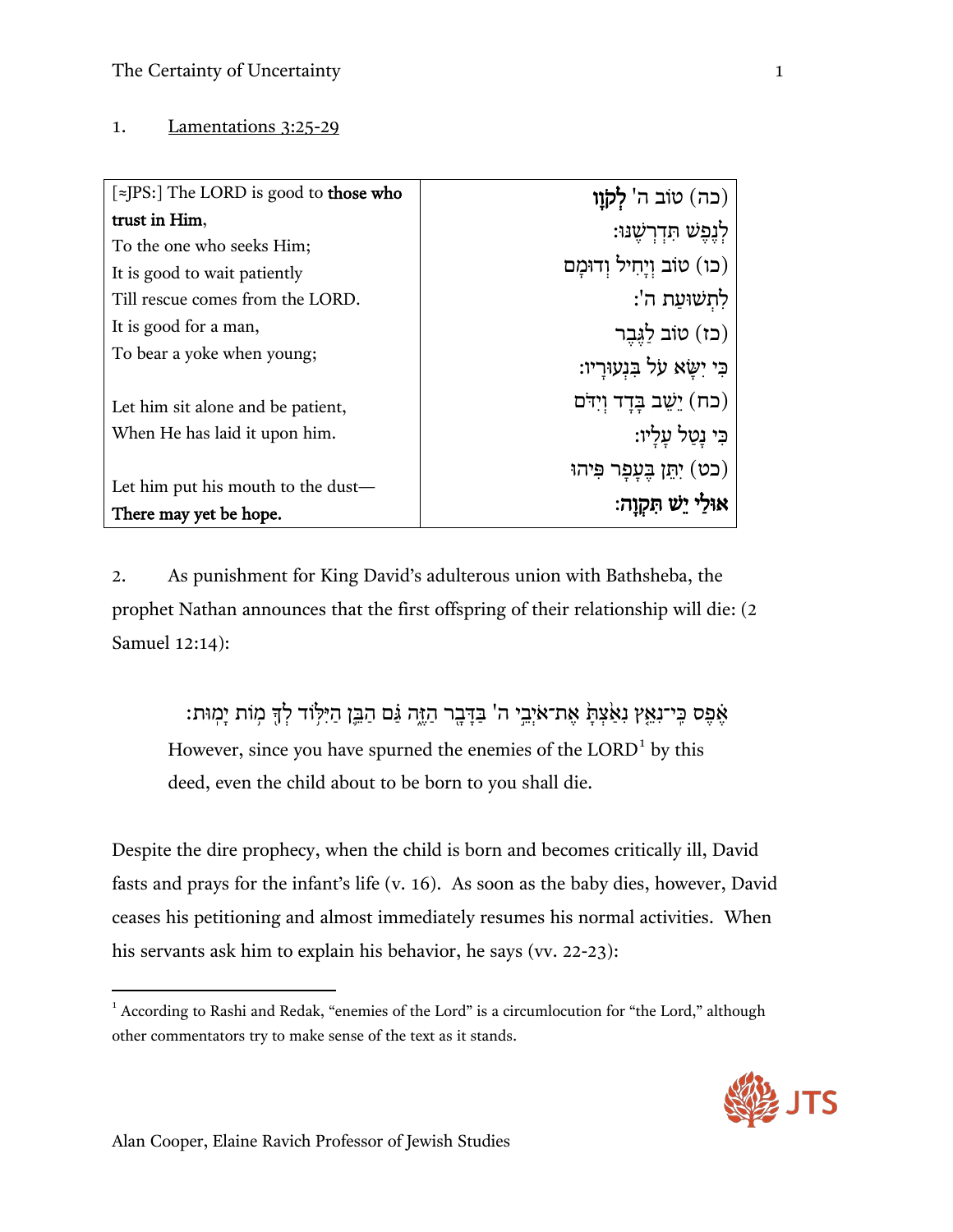## 1. Lamentations 3:25-29

| $\lceil z \rceil$ The LORD is good to those who | (כה) טוֹב ה' לְקָוַו          |
|-------------------------------------------------|-------------------------------|
| trust in Him,                                   | לְנֶפֶּשׁ תִּדְרָשֵׁנּוּ:     |
| To the one who seeks Him;                       |                               |
| It is good to wait patiently                    | (כו) טוֹב וְיַחִיל וְדוּמַם   |
| Till rescue comes from the LORD.                | לְתְשׁוּעַת ה':               |
| It is good for a man,                           | (כז) טוֹב לַגְּבֶר            |
| To bear a yoke when young;                      | ּבִי יִשָּׂא על בִּנְעוּרָיו: |
| Let him sit alone and be patient,               | (כח) יֵשֵׁב בָּדָד וְיִדֹּם   |
| When He has laid it upon him.                   | ּבִּי נָטַל עַלַיו:           |
|                                                 | (כט) יְתֵן בֶּעָפָר פִּיהוּ   |
| Let him put his mouth to the dust—              | אוּלַי יֵשׁ תִּקְוָה:         |
| There may yet be hope.                          |                               |

2. As punishment for King David's adulterous union with Bathsheba, the prophet Nathan announces that the first offspring of their relationship will die: (2 Samuel 12:14):

אֶפֶס כֵּי־נְאֵץ נִאַּצְתַּ אֶת־אֹיְבֵי ה' בַּדָּבָר הַזֶּה גַּם הַבֵּן הַיִּלְוֹד לְדָּ מְוֹת יַמְוּת: However, since you have spurned the enemies of the LORD<sup>1</sup> by this deed, even the child about to be born to you shall die.

Despite the dire prophecy, when the child is born and becomes critically ill, David fasts and prays for the infant's life (v. 16). As soon as the baby dies, however, David ceases his petitioning and almost immediately resumes his normal activities. When his servants ask him to explain his behavior, he says (vv. 22-23):

<sup>&</sup>lt;sup>1</sup> According to Rashi and Redak, "enemies of the Lord" is a circumlocution for "the Lord," although other commentators try to make sense of the text as it stands.



 $\overline{\phantom{a}}$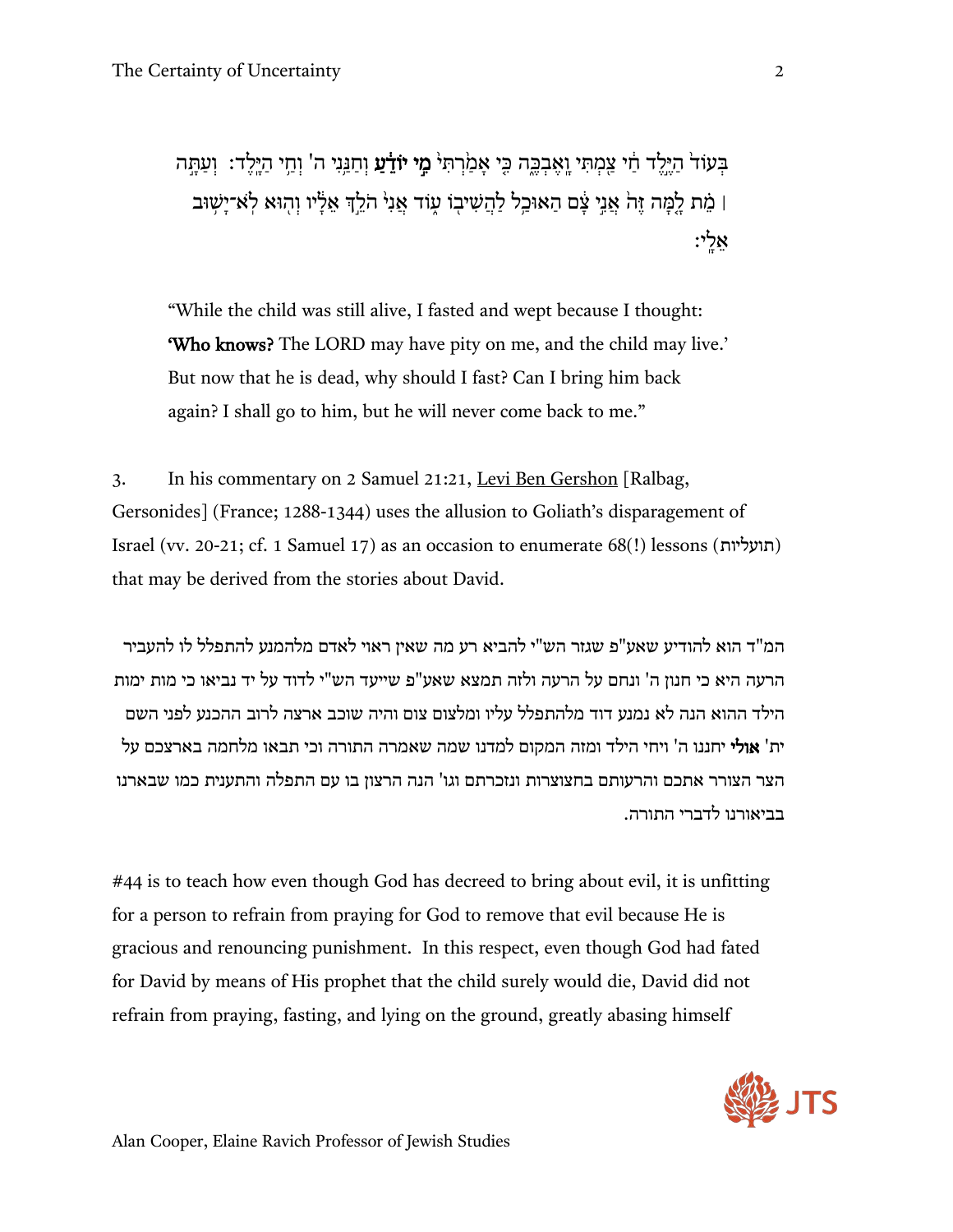בִּעְזֹד<sup>י</sup> היּלִד חִי צַמִתִּי ואָבְכֵּה כֵּי אָמִרתִּי **מֵי יוֹדֵ֫עַ** וְחִנֵּנִי ה' וְחִי היּלִד: וְעַתְּה ן מֵת לָמָּה זֶהֹ אֲנֵי צָם הַאוּכַל לַהֲשִׁיבְוֹ עֻוֹד אֲנִי הֹלֵךְ אֵלָיו וְהִוּא לְאֹ־יָשְׁוּב | ָ אֵלי

"While the child was still alive, I fasted and wept because I thought: 'Who knows? The LORD may have pity on me, and the child may live.' But now that he is dead, why should I fast? Can I bring him back again? I shall go to him, but he will never come back to me."

3. In his commentary on 2 Samuel 21:21, Levi Ben Gershon [Ralbag, Gersonides] (France; 1288-1344) uses the allusion to Goliath's disparagement of Israel (vv. 20-21; cf. 1 Samuel 17) as an occasion to enumerate 68(!) lessons (תועליות ( that may be derived from the stories about David.

המ"ד הוא להודיע שאע"פ שגזר הש"י להביא רע מה שאין ראוי לאדם מלהמנע להתפלל לו להעביר הרעה היא כי חנון ה' ונחם על הרעה ולזה תמצא שאע"פ שייעד הש"י לדוד על יד נביאו כי מות ימות הילד ההוא הנה לא נמנע דוד מלהתפלל עליו ומלצום צום והיה שוכב ארצה לרוב ההכנע לפני השם ית' אולי יחננו ה' ויחי הילד ומזה המקום למדנו שמה שאמרה התורה וכי תבאו מלחמה בארצכם על הצר הצורר אתכם והרעותם בחצוצרות ונזכרתם וגו' הנה הרצון בו עם התפלה והתענית כמו שבארנו בביאורנו לדברי התורה.

#44 is to teach how even though God has decreed to bring about evil, it is unfitting for a person to refrain from praying for God to remove that evil because He is gracious and renouncing punishment. In this respect, even though God had fated for David by means of His prophet that the child surely would die, David did not refrain from praying, fasting, and lying on the ground, greatly abasing himself

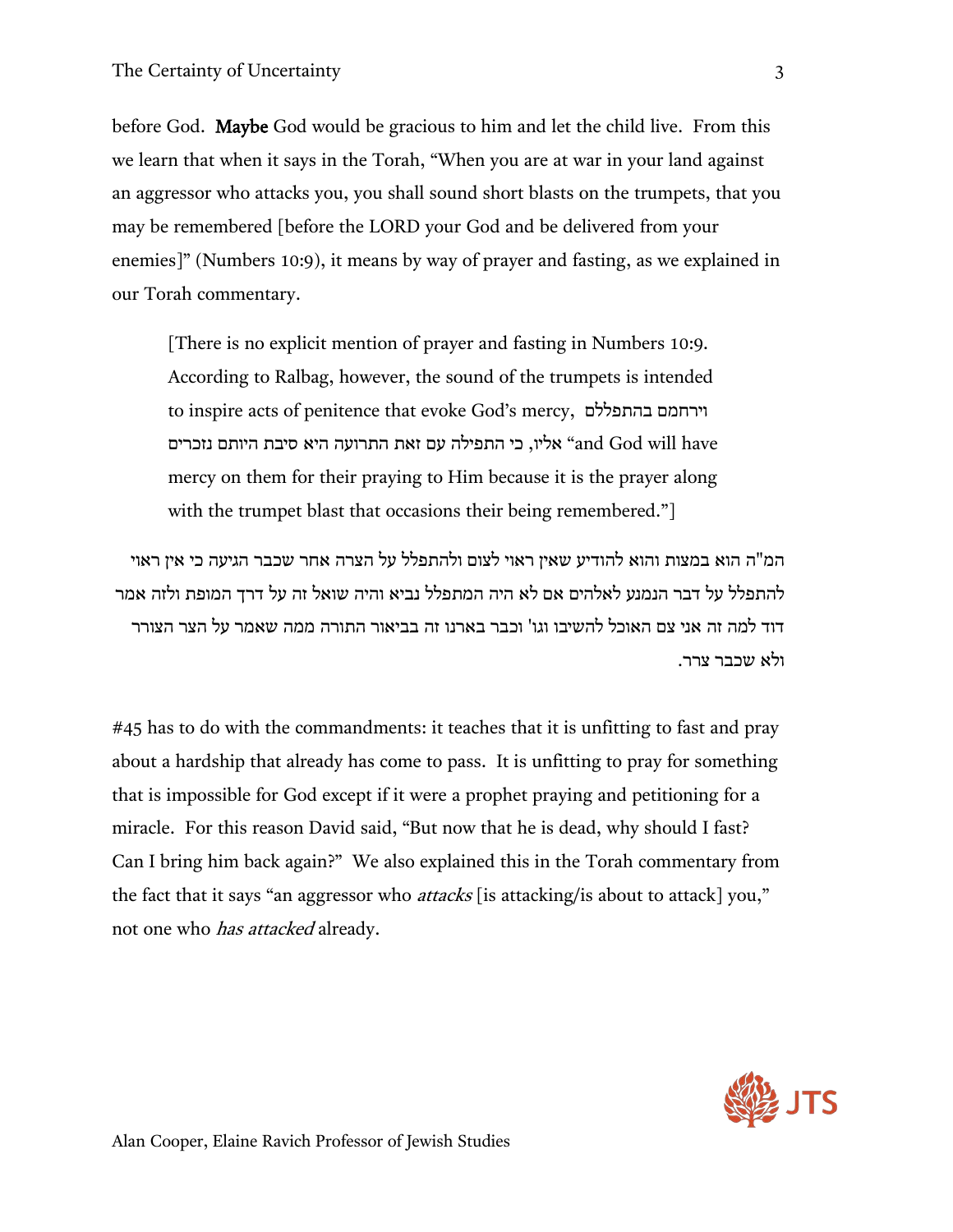before God. Maybe God would be gracious to him and let the child live. From this we learn that when it says in the Torah, "When you are at war in your land against an aggressor who attacks you, you shall sound short blasts on the trumpets, that you may be remembered [before the LORD your God and be delivered from your enemies]" (Numbers 10:9), it means by way of prayer and fasting, as we explained in our Torah commentary.

[There is no explicit mention of prayer and fasting in Numbers 10:9. According to Ralbag, however, the sound of the trumpets is intended to inspire acts of penitence that evoke God's mercy, בהתפללם וירחמם have will God and "אליו, כי התפילה עם זאת התרועה היא סיבת היותם נזכרים mercy on them for their praying to Him because it is the prayer along with the trumpet blast that occasions their being remembered."

המ"ה הוא במצות והוא להודיע שאין ראוי לצום ולהתפלל על הצרה אחר שכבר הגיעה כי אין ראוי להתפלל על דבר הנמנע לאלהים אם לא היה המתפלל נביא והיה שואל זה על דרך המופת ולזה אמר דוד למה זה אני צם האוכל להשיבו וגו' וכבר בארנו זה בביאור התורה ממה שאמר על הצר הצורר ולא שכבר צרר.

#45 has to do with the commandments: it teaches that it is unfitting to fast and pray about a hardship that already has come to pass. It is unfitting to pray for something that is impossible for God except if it were a prophet praying and petitioning for a miracle. For this reason David said, "But now that he is dead, why should I fast? Can I bring him back again?" We also explained this in the Torah commentary from the fact that it says "an aggressor who *attacks* [is attacking/is about to attack] you," not one who *has attacked* already.

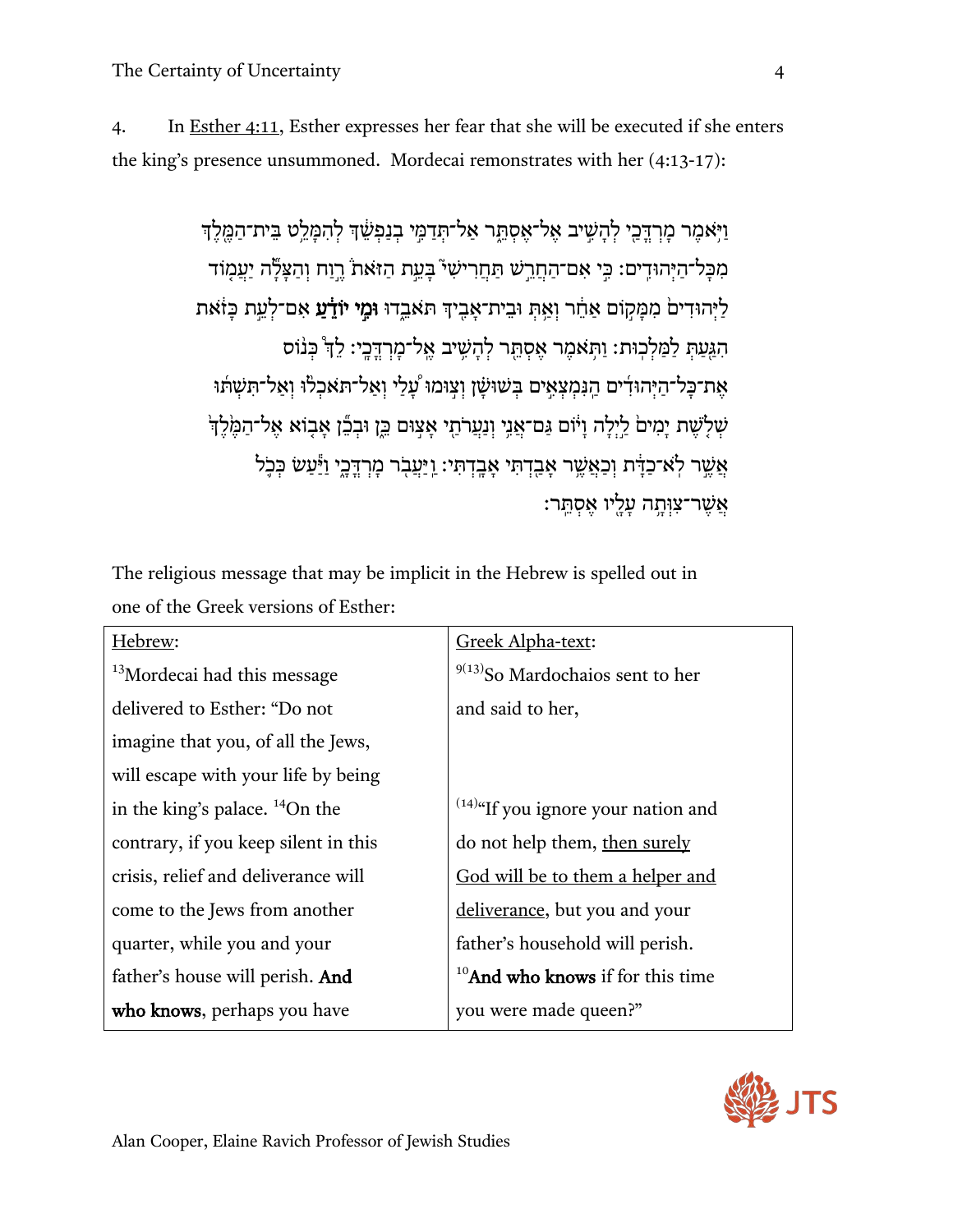4. In Esther 4:11, Esther expresses her fear that she will be executed if she enters the king's presence unsummoned. Mordecai remonstrates with her (4:13-17):

> וַ יִּאמֶר מַרְדֶּכֵי לְהָשִׁיב אֱל־אֱסְתֵּר אֲל־תְּדָמֵי בְנַפְשֶׁדְ לְהִמֵּלֵט בֵּית־הַמֶּלֶד מִכּל־היִהוּדִים: כֵּי אִם־הַחֲרִשׁ תַּחֲרִישׁי בַּעַת הַזּאַת רוּח וְהַצַלֶּה יִעָמוֹד לַיְּהוּדִים מִמַּקוֹם אַחֶר וְאֵתְ וּבֵית־אָבֵיךְ תִּאֲבֵדוּ וּמֵי יוֹדָ֫עַ אָם־לְעֵת כַּזֹאת הִגַּעַתְּ לַמַּלְכְוּת: וַתְּאמֶר אֵסְתֵּר לְהָשֶׁיב אֱל־מָרְדֶּבֶי: לֵדְּ כְּנוֹס אֶת־כַּל־הַיְּהוּדִים הַנִּמְצְאֵים בִּשׁוּשַׁן וְצִוּמוּ עֲלַי וְאַל־תּאַכְלוּ וְאֵל־תִּשְׁתּוּ שְׁלָשֶׁת יָמִיםׂ לַיְלָה וָיֹּוֹם גַּם־אֲנֵי וְנַעֲרֹתַי אָצִוּם כֵּוָ וּבְכֵّן אָבִוֹא אֶל־הַמֶּ֫לֶדְּ אֲשֶׁר לְאֹ־כַדְּׂת וְכַאֲשֶׁר אָבִדְתִּי אָבֶדְתִּי: וַיַּעֲבִר מַרְדֵּכֵי וַיַּּעַשׂ כִּכֹ<sup>ל</sup> ּ אֲשֶׁר־צִוְּתֵה עַלֵּיו אֱסְתֵּר:

The religious message that may be implicit in the Hebrew is spelled out in one of the Greek versions of Esther:

| Hebrew:                                 | Greek Alpha-text:                             |
|-----------------------------------------|-----------------------------------------------|
| <sup>13</sup> Mordecai had this message | $9(13)$ So Mardochaios sent to her            |
| delivered to Esther: "Do not            | and said to her,                              |
| imagine that you, of all the Jews,      |                                               |
| will escape with your life by being     |                                               |
| in the king's palace. $^{14}$ On the    | $^{(14)\alpha}$ If you ignore your nation and |
| contrary, if you keep silent in this    | do not help them, then surely                 |
| crisis, relief and deliverance will     | God will be to them a helper and              |
| come to the Jews from another           | deliverance, but you and your                 |
| quarter, while you and your             | father's household will perish.               |
| father's house will perish. And         | $10$ And who knows if for this time           |
| who knows, perhaps you have             | you were made queen?"                         |

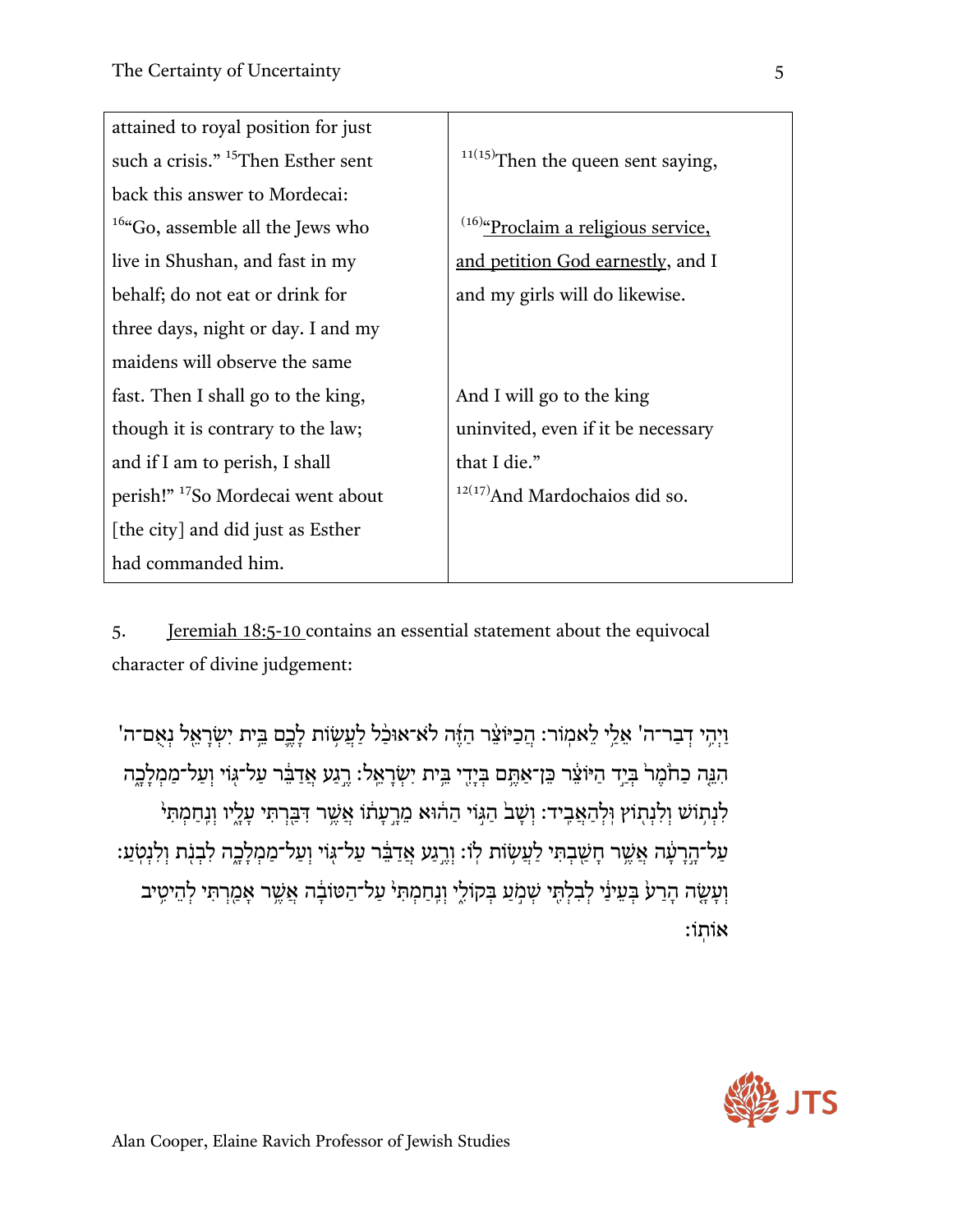| attained to royal position for just                      |                                                |
|----------------------------------------------------------|------------------------------------------------|
| such a crisis." <sup>15</sup> Then Esther sent           | $11(15)$ Then the queen sent saying,           |
| back this answer to Mordecai:                            |                                                |
| <sup>16</sup> <sup>4</sup> Go, assemble all the Jews who | <sup>(16)</sup> "Proclaim a religious service, |
| live in Shushan, and fast in my                          | and petition God earnestly, and I              |
| behalf; do not eat or drink for                          | and my girls will do likewise.                 |
| three days, night or day. I and my                       |                                                |
| maidens will observe the same                            |                                                |
| fast. Then I shall go to the king,                       | And I will go to the king                      |
| though it is contrary to the law;                        | uninvited, even if it be necessary             |
| and if I am to perish, I shall                           | that I die."                                   |
| perish!" <sup>17</sup> So Mordecai went about            | $12(17)$ And Mardochaios did so.               |
| [the city] and did just as Esther                        |                                                |
| had commanded him.                                       |                                                |

5. Jeremiah 18:5-10 contains an essential statement about the equivocal character of divine judgement:

וַיְהִי דְבַר־ה' אֵלֵי לֵאמְוֹר: הֵכִיּוֹצֵ֫ר הַזֶּה לֹא־אוּכַּ֫ל לַעֲשְׂוֹת לָבֵם בֵּיִת יִשְׂרָאֱל נִאָם־ה' הִנֵּה כַהֹּמֶרֹ בְּיָד הַיּוֹצֵ֫ר כֵּן־אַתֵּם בְּיָדִי בֵּית יִשְׂרָאֵל: רֵגַע אֲדַבֵּ֫ר עַל־גְּוֹי וְעַל־מַמְלָבֶה ֹלְנְתְוֹשׁ וִלְנְתְוֹץ וְלִהַאֲבִיד: וְשָׁבֹ הַגְּוֹי הַהֹוּא מֵרֵעָתוֹ אֲשֵׁר דִּבְּרְתִּי עָלָיו וְנֵחַמְתִּי ּעַל־הֶרָעָ֫ה אֲשֶׁר חָשַׁבְתִּי לַעֲשְׂוֹת לְוֹ: וְרֵגַע אֲדַבֵּ֫ר עַל־גְוֹי וְעַל־מַמְלָבֶה לִבְנִֽת וְלִנְטְעַ וְעָשֶׂה הָרַעֹ בִּעֵינַי לְבִלְתֵּי שִׁמְעַ בִּקוֹלֵי וְנֵחַמְתִּי עַל־הַטּוֹבָ֫ה אֲשֵׁר אָמַרִתִּי לְהֵיטֵיב  $:$ וֹתוֹ

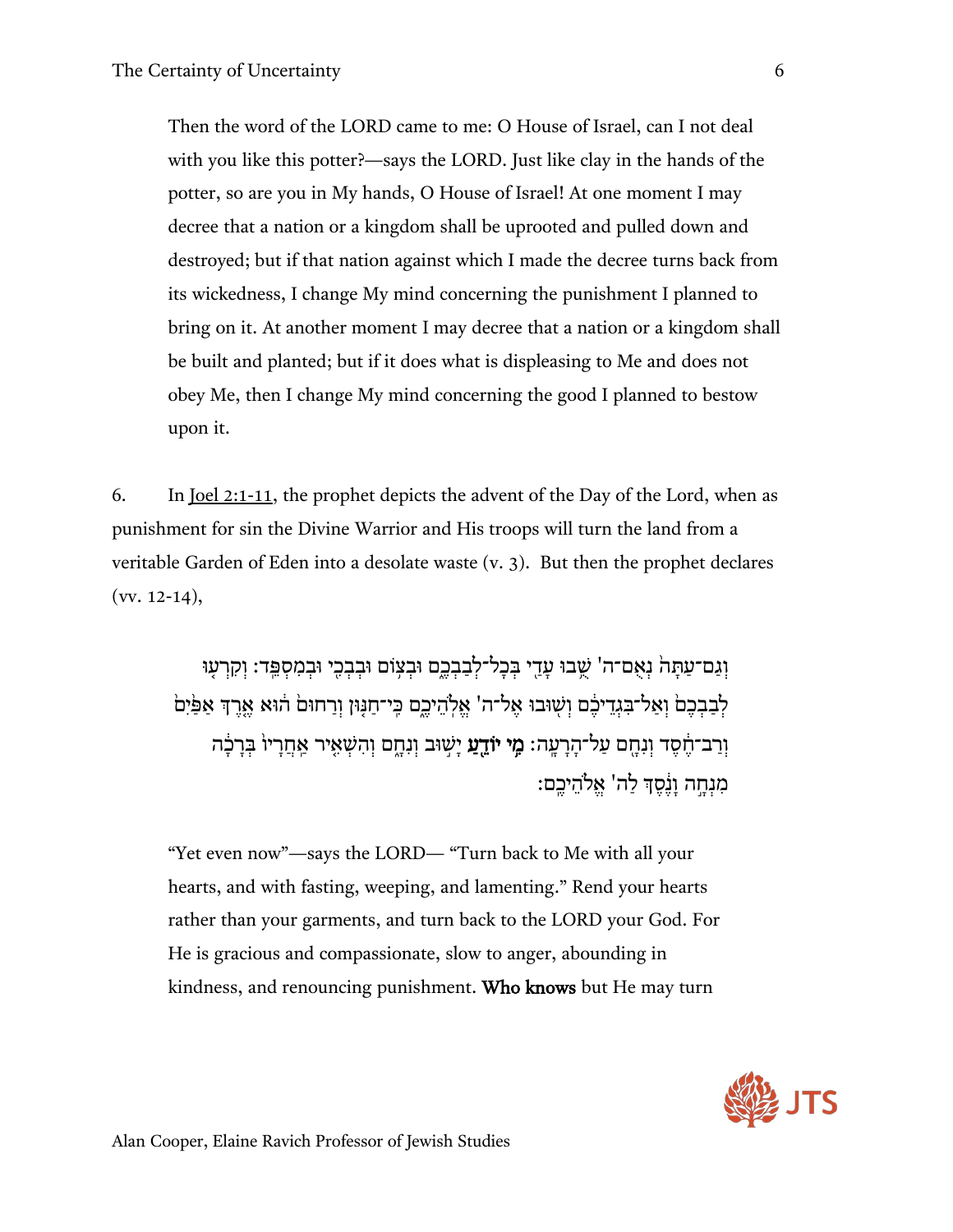Then the word of the LORD came to me: O House of Israel, can I not deal with you like this potter?—says the LORD. Just like clay in the hands of the potter, so are you in My hands, O House of Israel! At one moment I may decree that a nation or a kingdom shall be uprooted and pulled down and destroyed; but if that nation against which I made the decree turns back from its wickedness, I change My mind concerning the punishment I planned to bring on it. At another moment I may decree that a nation or a kingdom shall be built and planted; but if it does what is displeasing to Me and does not obey Me, then I change My mind concerning the good I planned to bestow upon it.

6. In Joel 2:1-11, the prophet depicts the advent of the Day of the Lord, when as punishment for sin the Divine Warrior and His troops will turn the land from a veritable Garden of Eden into a desolate waste (v. 3). But then the prophet declares  $(vv. 12-14),$ 

וְגַם־עַתַּהׂ נִאְם־ה' שֶׁבוּ עָדֵי בִּכָל־לְבַבְבֶם וּבְצִוֹם וּבְבְכֵי וּבְמִסְפֵּד: וִקְרָעָוּ לְבַבְכֶםׂ וְאַל־בִּגְדֵיכֶם וְשְׁוּבוּ אֱל־ה' אֱלְהֵיכֶם כֵּי־חַנְּוּן וְרַחוּםׂ הוֹא אֱרֶךְ אַפַּׂיִםֹ וְרַב־חֶסֶד וְנִחֶם עַל־הָרָעֶה**: מֶי יוֹדֵעַ** יָשְׁוּב וְנִחֶם וְהִשְׁאֵיר אַחֲרָיוֹ בְּרָבְר מִנחה וּנֵׁסִדְּ לִה' אֵלֹהיכִם:

"Yet even now"—says the LORD— "Turn back to Me with all your hearts, and with fasting, weeping, and lamenting." Rend your hearts rather than your garments, and turn back to the LORD your God. For He is gracious and compassionate, slow to anger, abounding in kindness, and renouncing punishment. Who knows but He may turn

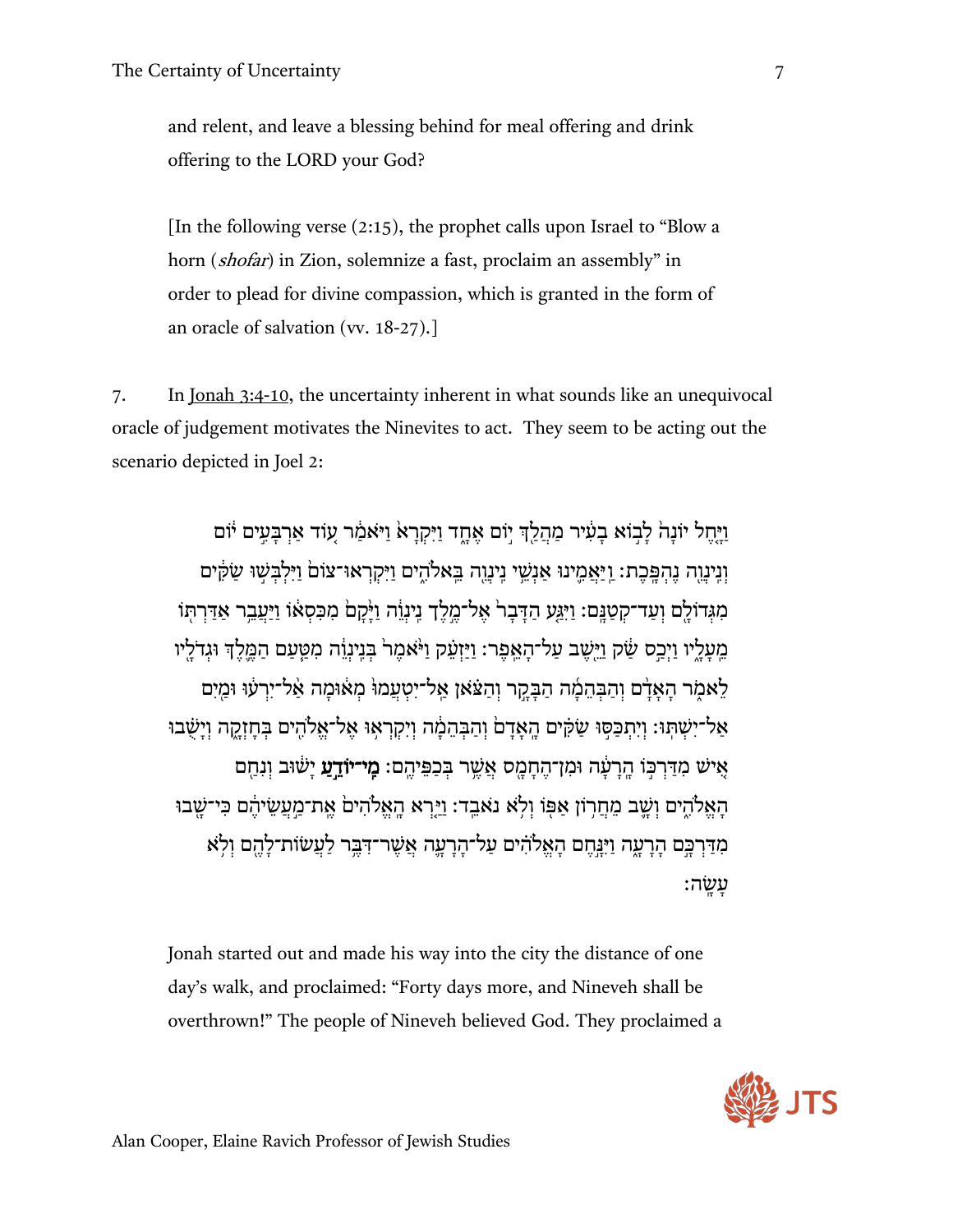and relent, and leave a blessing behind for meal offering and drink offering to the LORD your God?

[In the following verse (2:15), the prophet calls upon Israel to "Blow a horn (shofar) in Zion, solemnize a fast, proclaim an assembly" in order to plead for divine compassion, which is granted in the form of an oracle of salvation (vv. 18-27).]

7. In Jonah 3:4-10, the uncertainty inherent in what sounds like an unequivocal oracle of judgement motivates the Ninevites to act. They seem to be acting out the scenario depicted in Joel 2:

וִיּחל יוֹנהׂ לִבוֹא בעִיר מהלךְ יוֹם אַחד ויּקראַ ויּאַמֹר עוֹד אַרבַּעִים יֹוֹם וְנִינֵוְה נֵהְפֶּכֶת: וַיַּאֲמֵינוּ אַנְשֵׁי נֵינֵוֵה בֵּאלֹהֵים וַיִּקְרְאוּ־צוֹםׂ וַיִּלְבִּשׁוּ שֹׂקִים ְמִ גְּדוֹלָם וְעַד־קְטַנֵּם: וִיּגַעָ הִדְּבַר אֵל־מַלֹךְ נִינוֹה וַיֹּקָם מִכַּסְאֵוֹ וִיּעָבֵר אַדִּרְתּוֹ מֵעֲלֵיו וַיְכֵס שַׂק וַיּּשֶׁב עַל־הָאֵפֶר: וַיַּזְעָק וַיּ<sup>ּ</sup>אמֶר בִּנֶינוֹה מִטֵּעַם הַמֵּלֶךְ וּגִדֹלַיו לִאמֹר האַדֹם והִבִּהמֹה הִבִּקָר וְהִצָּאַן אַל־יִטְעָמוּּ מַאָּוּמַה אָל־יִרְעַוּ וּמִים אַל־ישִׁתּּוּ: ויתכּסוּ שַׂקִּים האִדםׂ והבּהמֹה ויקראוּ אַל־אַלֹהים בִּחזקה וישֹׁבוּ אִישׁ מִדִּרכּוֹ הרעִד וּמִן־החמס אַשׁר בִּכְפֵּיהם: **מִי־יוֹדִע** יִשׁוּב וּנִחִם הַאֲלֹהֵים וְשֵׁב מֵחֲרְוֹן אַפּוֹ וְלָא נֹאבֵד: וַיִּרְא הַאֱלֹהִיםׂ אֱת־מֵעֲשִׂיהֶם כִּי־שָׁבוּ מִדַּרְכֵּם הַרָעָה וַיִּנֵּחֵם הָאֱלֹהִים עַל־הֲרָעֵה אֲשֶׁר־דָּבֵּר לַעֲשׂוֹת־לָהֱם וְלָא ַ עֲשֱׂה

Jonah started out and made his way into the city the distance of one day's walk, and proclaimed: "Forty days more, and Nineveh shall be overthrown!" The people of Nineveh believed God. They proclaimed a

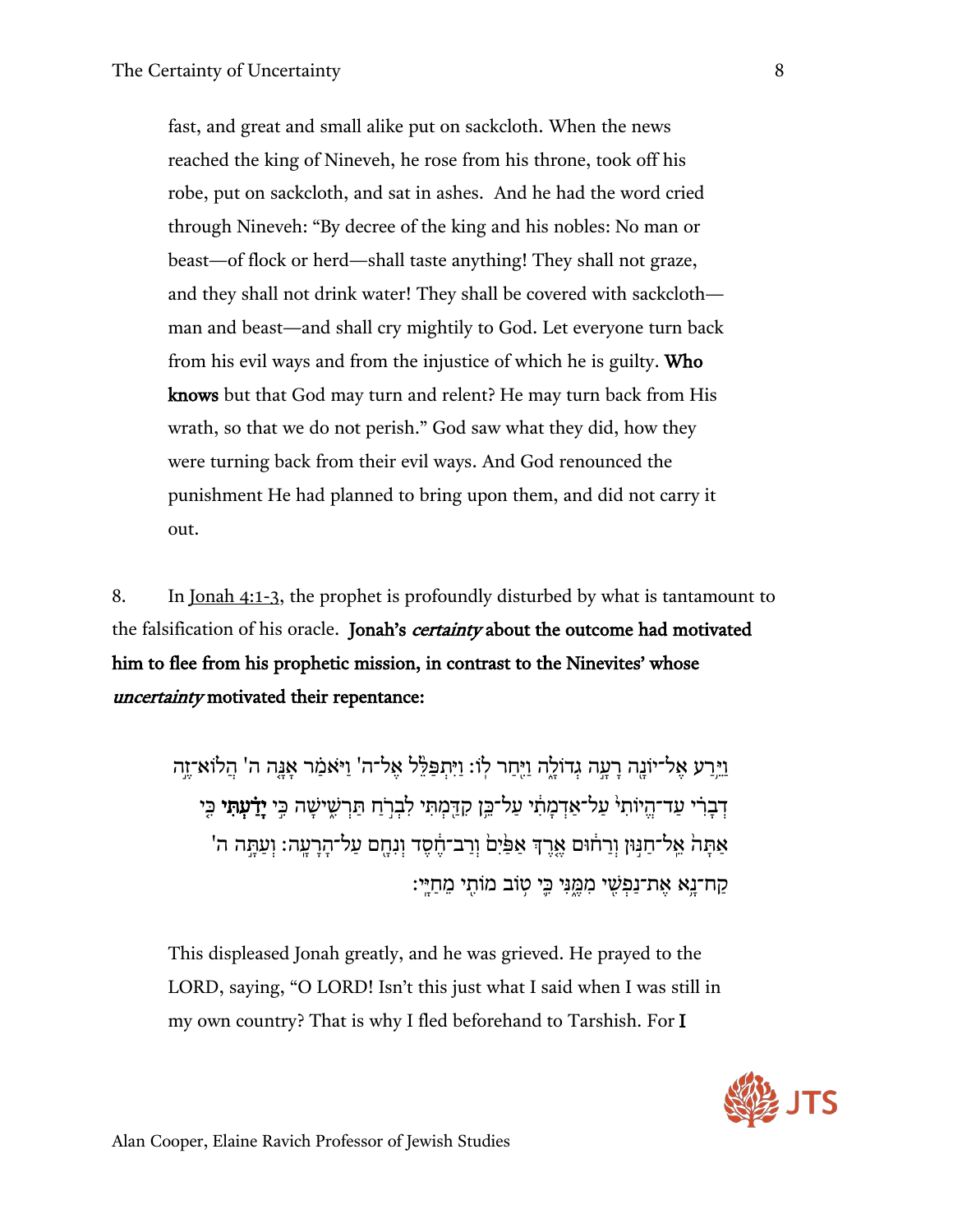fast, and great and small alike put on sackcloth. When the news reached the king of Nineveh, he rose from his throne, took off his robe, put on sackcloth, and sat in ashes. And he had the word cried through Nineveh: "By decree of the king and his nobles: No man or beast—of flock or herd—shall taste anything! They shall not graze, and they shall not drink water! They shall be covered with sackcloth man and beast—and shall cry mightily to God. Let everyone turn back from his evil ways and from the injustice of which he is guilty. Who knows but that God may turn and relent? He may turn back from His wrath, so that we do not perish." God saw what they did, how they were turning back from their evil ways. And God renounced the punishment He had planned to bring upon them, and did not carry it out.

8. In Jonah 4:1-3, the prophet is profoundly disturbed by what is tantamount to the falsification of his oracle. Jonah's *certainty* about the outcome had motivated him to flee from his prophetic mission, in contrast to the Ninevites' whose uncertainty motivated their repentance:

ויִּרַע אַל־יוֹנַה רִעָה גִדוֹלָה וִיּחַר לוֹ: וִיּתִפַּלֶּל אֵל־ה' וִיּאָמַר אַנַּה ה' הלוֹא־זֶה דְבָרִי עַד־הֱיוֹתִי עַל־אַדְמַתִי עַל־בֵּן קִדֵּמְתִּי לִבְרֹחַ תַּרְשִׁישַׁה כֵּי **יַדַ֫עְתִּי** כֵּי אַתַּהֹ אֵל־חַגִּוּן וְרַחֹוּם אֵרֵדְ אַפַּׂיִם וְרַב־חֶסֶד וְנִחֶם עַל־הָרָעֶה: וְעַתֲה ה' ַ קַח־נֵא אֶת־נַפְשֵׁי מִמֶּנִּי כֵּי טִוֹב מוֹתֵי מֵחַיֵּי:

This displeased Jonah greatly, and he was grieved. He prayed to the LORD, saying, "O LORD! Isn't this just what I said when I was still in my own country? That is why I fled beforehand to Tarshish. For I

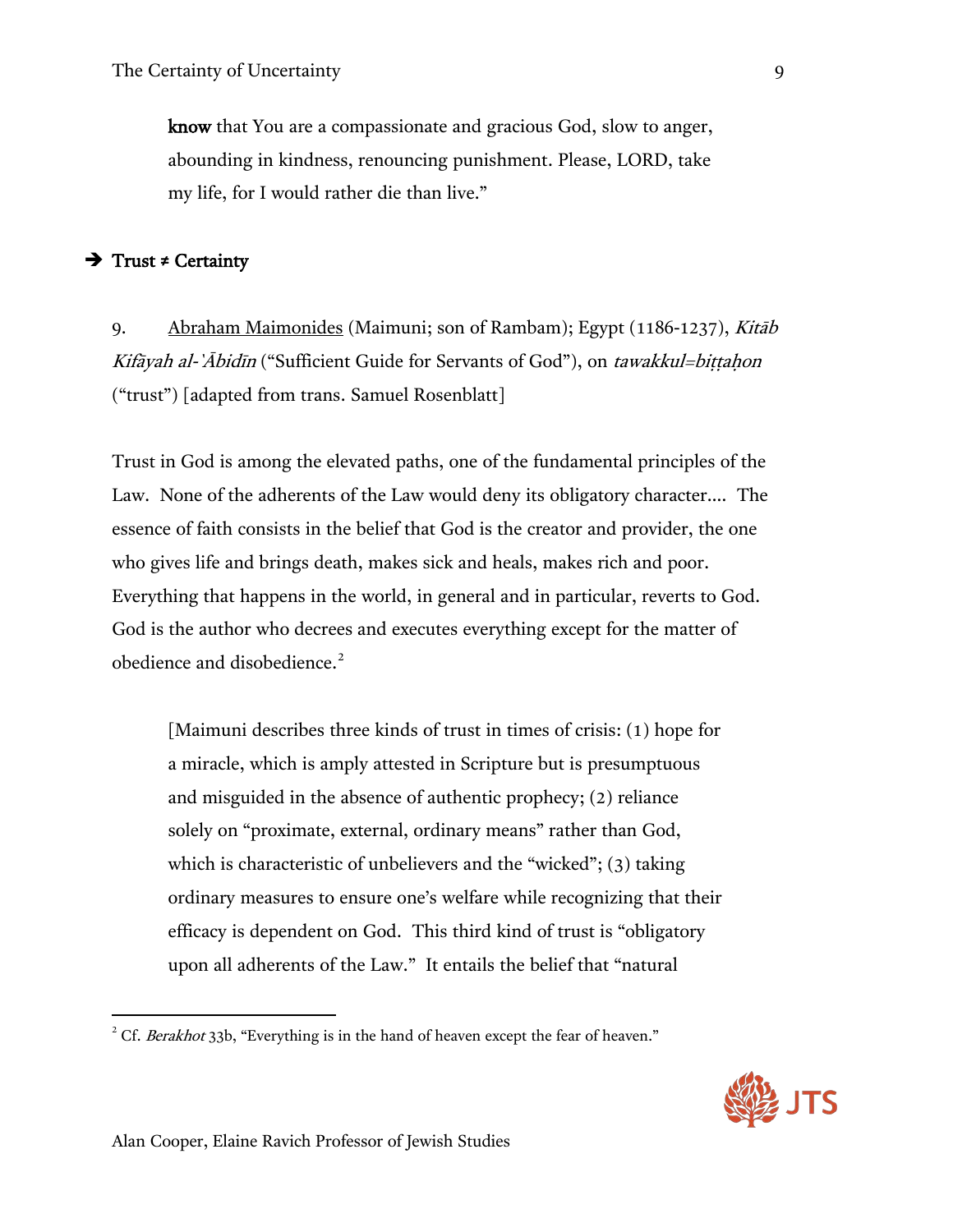know that You are a compassionate and gracious God, slow to anger, abounding in kindness, renouncing punishment. Please, LORD, take my life, for I would rather die than live."

## Trust **≠** Certainty

 $\overline{\phantom{a}}$ 

9. Abraham Maimonides (Maimuni; son of Rambam); Egypt (1186-1237), Kitāb Kifāyah al-`Ābidīn ("Sufficient Guide for Servants of God"), on tawakkul=biṭṭaḥon ("trust") [adapted from trans. Samuel Rosenblatt]

Trust in God is among the elevated paths, one of the fundamental principles of the Law. None of the adherents of the Law would deny its obligatory character…. The essence of faith consists in the belief that God is the creator and provider, the one who gives life and brings death, makes sick and heals, makes rich and poor. Everything that happens in the world, in general and in particular, reverts to God. God is the author who decrees and executes everything except for the matter of obedience and disobedience.<sup>[2](#page-9-0)</sup>

[Maimuni describes three kinds of trust in times of crisis: (1) hope for a miracle, which is amply attested in Scripture but is presumptuous and misguided in the absence of authentic prophecy; (2) reliance solely on "proximate, external, ordinary means" rather than God, which is characteristic of unbelievers and the "wicked"; (3) taking ordinary measures to ensure one's welfare while recognizing that their efficacy is dependent on God. This third kind of trust is "obligatory upon all adherents of the Law." It entails the belief that "natural

<span id="page-9-0"></span><sup>&</sup>lt;sup>2</sup> Cf. Berakhot 33b, "Everything is in the hand of heaven except the fear of heaven."

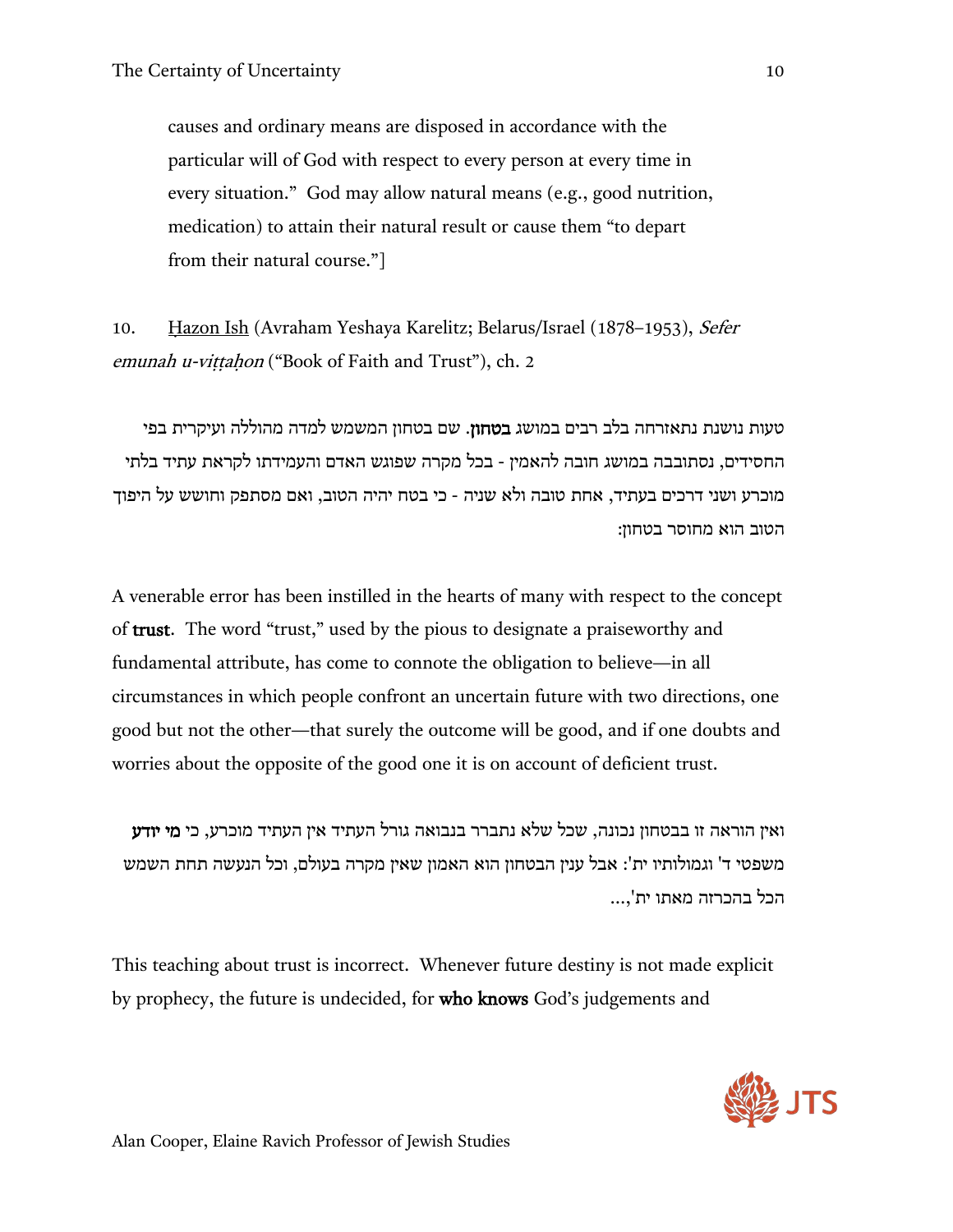causes and ordinary means are disposed in accordance with the particular will of God with respect to every person at every time in every situation." God may allow natural means (e.g., good nutrition, medication) to attain their natural result or cause them "to depart from their natural course."]

10. Ḥazon Ish (Avraham Yeshaya Karelitz; Belarus/Israel (1878–1953), Sefer emunah u-vittahon ("Book of Faith and Trust"), ch. 2

טעות נושנת נתאזרחה בלב רבים במושג בטחון. שם בטחון המשמש למדה מהוללה ועיקרית בפי החסידים, נסתובבה במושג חובה להאמין - בכל מקרה שפוגש האדם והעמידתו לקראת עתיד בלתי מוכרע ושני דרכים בעתיד, אחת טובה ולא שניה - כי בטח יהיה הטוב, ואם מסתפק וחושש על היפוך הטוב הוא מחוסר בטחון:

A venerable error has been instilled in the hearts of many with respect to the concept of trust. The word "trust," used by the pious to designate a praiseworthy and fundamental attribute, has come to connote the obligation to believe—in all circumstances in which people confront an uncertain future with two directions, one good but not the other—that surely the outcome will be good, and if one doubts and worries about the opposite of the good one it is on account of deficient trust.

ואין הוראה זו בבטחון נכונה, שכל שלא נתברר בנבואה גורל העתיד אין העתיד מוכרע, כי מי יודע משפטי ד' וגמולותיו ית': אבל ענין הבטחון הוא האמון שאין מקרה בעולם, וכל הנעשה תחת השמש הכל בהכרזה מאתו ית'...,

This teaching about trust is incorrect. Whenever future destiny is not made explicit by prophecy, the future is undecided, for who knows God's judgements and